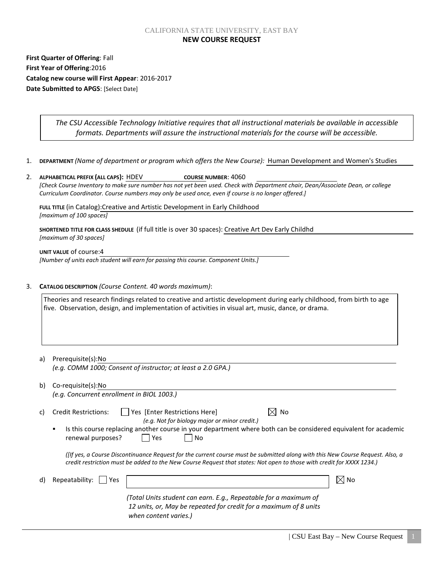### CALIFORNIA STATE UNIVERSITY, EAST BAY **NEW COURSE REQUEST**

**First Quarter of Offering**: Fall **First Year of Offering**:2016 **Catalog new course will First Appear**: 2016-2017 **Date Submitted to APGS**: [Select Date]

> *The CSU Accessible Technology Initiative requires that all instructional materials be available in accessible formats. Departments will assure the instructional materials for the course will be accessible.*

1. **DEPARTMENT** *(Name of department or program which offers the New Course):* Human Development and Women's Studies

|    | ALPHABETICAL PREFIX (ALL CAPS): HDEV<br>COURSE NUMBER: 4060                                                                     |  |  |
|----|---------------------------------------------------------------------------------------------------------------------------------|--|--|
|    | [Check Course Inventory to make sure number has not yet been used. Check with Department chair, Dean/Associate Dean, or college |  |  |
|    | Curriculum Coordinator. Course numbers may only be used once, even if course is no longer offered.]                             |  |  |
|    | FULL TITLE (in Catalog): Creative and Artistic Development in Early Childhood                                                   |  |  |
|    | [maximum of 100 spaces]                                                                                                         |  |  |
|    | SHORTENED TITLE FOR CLASS SHEDULE (if full title is over 30 spaces): Creative Art Dev Early Childhd<br>[maximum of 30 spaces]   |  |  |
|    | UNIT VALUE of course: 4                                                                                                         |  |  |
|    | [Number of units each student will earn for passing this course. Component Units.]                                              |  |  |
|    |                                                                                                                                 |  |  |
|    |                                                                                                                                 |  |  |
|    |                                                                                                                                 |  |  |
| 3. | CATALOG DESCRIPTION (Course Content. 40 words maximum):                                                                         |  |  |
|    | Theories and research findings related to creative and artistic development during early childhood, from birth to age           |  |  |
|    | five. Observation, design, and implementation of activities in visual art, music, dance, or drama.                              |  |  |
|    |                                                                                                                                 |  |  |
|    |                                                                                                                                 |  |  |
|    |                                                                                                                                 |  |  |
|    |                                                                                                                                 |  |  |
|    | Prerequisite(s):No<br>a)                                                                                                        |  |  |

| b) | Co-requisite(s):No                                                                                                                                                                                                                                     |                                                                                                                                                                |                |  |  |
|----|--------------------------------------------------------------------------------------------------------------------------------------------------------------------------------------------------------------------------------------------------------|----------------------------------------------------------------------------------------------------------------------------------------------------------------|----------------|--|--|
|    | (e.g. Concurrent enrollment in BIOL 1003.)                                                                                                                                                                                                             |                                                                                                                                                                |                |  |  |
| C) | <b>Credit Restrictions:</b>                                                                                                                                                                                                                            | $\bowtie$<br>Yes [Enter Restrictions Here]<br>No<br>(e.g. Not for biology major or minor credit.)                                                              |                |  |  |
|    | renewal purposes?                                                                                                                                                                                                                                      | Is this course replacing another course in your department where both can be considered equivalent for academic<br>Yes<br>No                                   |                |  |  |
|    | (If yes, a Course Discontinuance Request for the current course must be submitted along with this New Course Request. Also, a<br>credit restriction must be added to the New Course Request that states: Not open to those with credit for XXXX 1234.) |                                                                                                                                                                |                |  |  |
| d) | Repeatability:<br>Yes                                                                                                                                                                                                                                  |                                                                                                                                                                | $\boxtimes$ No |  |  |
|    |                                                                                                                                                                                                                                                        | (Total Units student can earn. E.g., Repeatable for a maximum of<br>12 units, or, May be repeated for credit for a maximum of 8 units<br>when content varies.) |                |  |  |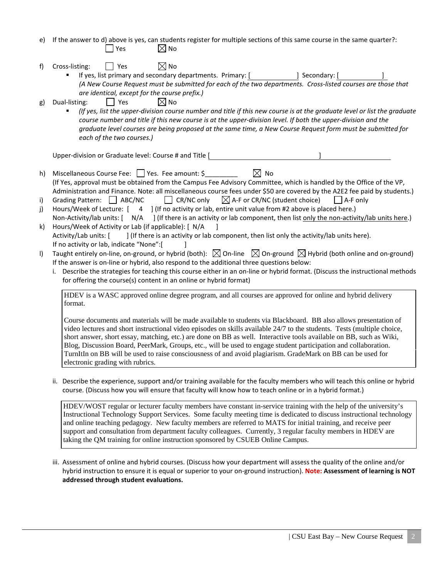- e) If the answer to d) above is yes, can students register for multiple sections of this same course in the same quarter?:  $\Box$  Yes  $\boxtimes$  No
- f) Cross-listing:  $\Box$  Yes  $\boxtimes$  No

If yes, list primary and secondary departments. Primary: [ ] Secondary: [ *(A New Course Request must be submitted for each of the two departments. Cross-listed courses are those that are identical, except for the course prefix.)* 

- g) Dual-listing:  $\vert \vert$  Yes  $\bowtie$  No
	- *(If yes, list the upper-division course number and title if this new course is at the graduate level or list the graduate*  course number and title if this new course is at the upper-division level. If both the upper-division and the *graduate level courses are being proposed at the same time, a New Course Request form must be submitted for each of the two courses.)*

Upper-division or Graduate level: Course # and Title [ ]

- h) Miscellaneous Course Fee:  $\Box$  Yes. Fee amount: \$  $\boxtimes$  No (If Yes, approval must be obtained from the Campus Fee Advisory Committee, which is handled by the Office of the VP, Administration and Finance. Note: all miscellaneous course fees under \$50 are covered by the A2E2 fee paid by students.)
- i) Grading Pattern:  $\Box$  ABC/NC  $\Box$  CR/NC only  $\Box$  A-F or CR/NC (student choice)  $\Box$  A-F only
- j) Hours/Week of Lecture: [ 4 ] (If no activity or lab, entire unit value from #2 above is placed here.)
- Non-Activity/lab units:  $\begin{bmatrix} N/A \\ \end{bmatrix}$  (If there is an activity or lab component, then list only the non-activity/lab units here.) k) Hours/Week of Activity or Lab (if applicable): [ N/A ]
- Activity/Lab units: [ ] (If there is an activity or lab component, then list only the activity/lab units here). If no activity or lab, indicate "None":[ ]
- I) Taught entirely on-line, on-ground, or hybrid (both):  $\boxtimes$  On-line  $\boxtimes$  On-ground  $\boxtimes$  Hybrid (both online and on-ground) If the answer is on-line or hybrid, also respond to the additional three questions below:
	- i. Describe the strategies for teaching this course either in an on-line or hybrid format. (Discuss the instructional methods for offering the course(s) content in an online or hybrid format)

HDEV is a WASC approved online degree program, and all courses are approved for online and hybrid delivery format.

Course documents and materials will be made available to students via Blackboard. BB also allows presentation of video lectures and short instructional video episodes on skills available 24/7 to the students. Tests (multiple choice, short answer, short essay, matching, etc.) are done on BB as well. Interactive tools available on BB, such as Wiki, Blog, Discussion Board, PeerMark, Groups, etc., will be used to engage student participation and collaboration. TurnItIn on BB will be used to raise consciousness of and avoid plagiarism. GradeMark on BB can be used for electronic grading with rubrics.

ii. Describe the experience, support and/or training available for the faculty members who will teach this online or hybrid course. (Discuss how you will ensure that faculty will know how to teach online or in a hybrid format.)

HDEV/WOST regular or lecturer faculty members have constant in-service training with the help of the university's Instructional Technology Support Services. Some faculty meeting time is dedicated to discuss instructional technology and online teaching pedagogy. New faculty members are referred to MATS for initial training, and receive peer support and consultation from department faculty colleagues. Currently, 3 regular faculty members in HDEV are taking the QM training for online instruction sponsored by CSUEB Online Campus.

iii. Assessment of online and hybrid courses. (Discuss how your department will assess the quality of the online and/or hybrid instruction to ensure it is equal or superior to your on-ground instruction). **Note: Assessment of learning is NOT addressed through student evaluations.**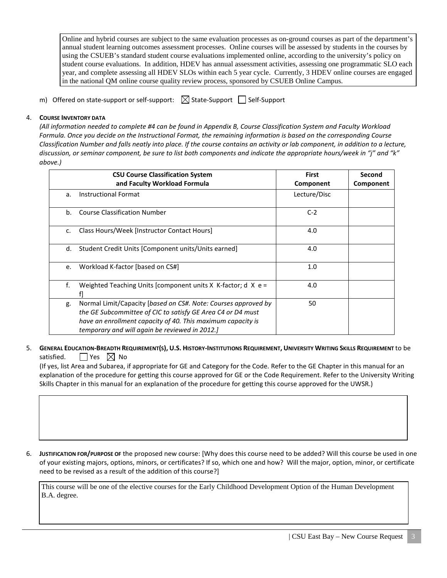Online and hybrid courses are subject to the same evaluation processes as on-ground courses as part of the department's annual student learning outcomes assessment processes. Online courses will be assessed by students in the courses by using the CSUEB's standard student course evaluations implemented online, according to the university's policy on student course evaluations. In addition, HDEV has annual assessment activities, assessing one programmatic SLO each year, and complete assessing all HDEV SLOs within each 5 year cycle. Currently, 3 HDEV online courses are engaged in the national QM online course quality review process, sponsored by CSUEB Online Campus.

m) Offered on state-support or self-support:  $\boxtimes$  State-Support  $\Box$  Self-Support

# 4. **COURSE INVENTORY DATA**

*(All information needed to complete #4 can be found in Appendix B, Course Classification System and Faculty Workload Formula. Once you decide on the Instructional Format, the remaining information is based on the corresponding Course Classification Number and falls neatly into place. If the course contains an activity or lab component, in addition to a lecture, discussion, or seminar component, be sure to list both components and indicate the appropriate hours/week in "j" and "k" above.)*

|                | <b>CSU Course Classification System</b>                                                                                                                                                                                                       | <b>First</b> | Second    |
|----------------|-----------------------------------------------------------------------------------------------------------------------------------------------------------------------------------------------------------------------------------------------|--------------|-----------|
|                | and Faculty Workload Formula                                                                                                                                                                                                                  | Component    | Component |
| a.             | <b>Instructional Format</b>                                                                                                                                                                                                                   | Lecture/Disc |           |
| b <sub>1</sub> | <b>Course Classification Number</b>                                                                                                                                                                                                           | $C-2$        |           |
| c.             | Class Hours/Week [Instructor Contact Hours]                                                                                                                                                                                                   | 4.0          |           |
| d.             | Student Credit Units [Component units/Units earned]                                                                                                                                                                                           | 4.0          |           |
| e.             | Workload K-factor [based on CS#]                                                                                                                                                                                                              | 1.0          |           |
| f.             | Weighted Teaching Units [component units X K-factor; d X e =<br>f1                                                                                                                                                                            | 4.0          |           |
| g.             | Normal Limit/Capacity [based on CS#. Note: Courses approved by<br>the GE Subcommittee of CIC to satisfy GE Area C4 or D4 must<br>have an enrollment capacity of 40. This maximum capacity is<br>temporary and will again be reviewed in 2012. | 50           |           |

## 5. **GENERAL EDUCATION-BREADTH REQUIREMENT(S), U.S. HISTORY-INSTITUTIONS REQUIREMENT, UNIVERSITY WRITING SKILLS REQUIREMENT** to be satisfied.  $\Box$  Yes  $\boxtimes$  No

 (If yes, list Area and Subarea, if appropriate for GE and Category for the Code. Refer to the GE Chapter in this manual for an explanation of the procedure for getting this course approved for GE or the Code Requirement. Refer to the University Writing Skills Chapter in this manual for an explanation of the procedure for getting this course approved for the UWSR.)

6. **JUSTIFICATION FOR/PURPOSE OF** the proposed new course: [Why does this course need to be added? Will this course be used in one of your existing majors, options, minors, or certificates? If so, which one and how? Will the major, option, minor, or certificate need to be revised as a result of the addition of this course?]

This course will be one of the elective courses for the Early Childhood Development Option of the Human Development B.A. degree.